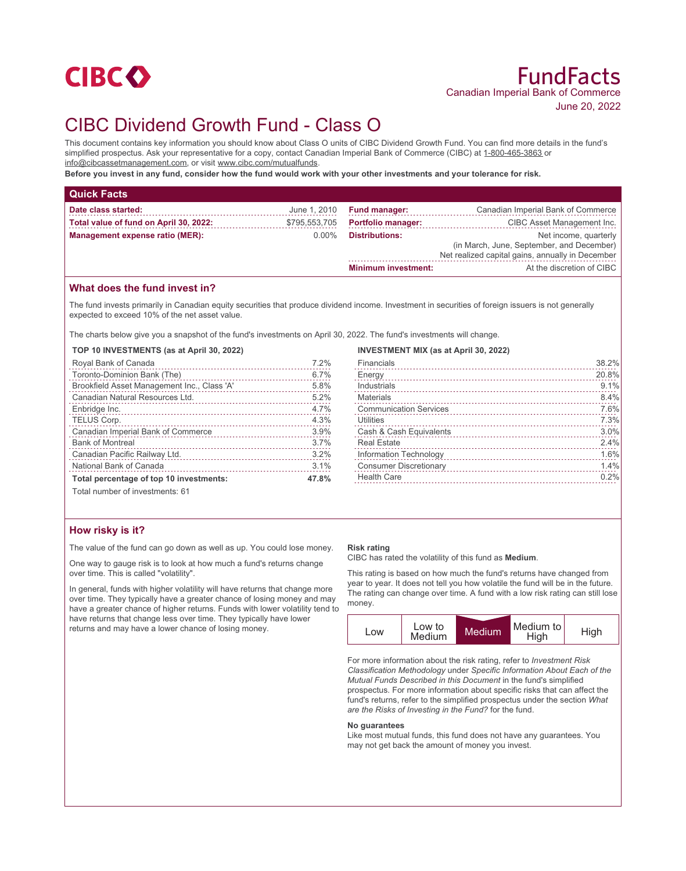

# CIBC Dividend Growth Fund - Class O

This document contains key information you should know about Class O units of CIBC Dividend Growth Fund. You can find more details in the fund's simplified prospectus. Ask your representative for a copy, contact Canadian Imperial Bank of Commerce (CIBC) at 1-800-465-3863 or info@cibcassetmanagement.com, or visit www.cibc.com/mutualfunds.

**Before you invest in any fund, consider how the fund would work with your other investments and your tolerance for risk.**

| <b>Quick Facts</b>                     |               |                            |                                                                                                                        |
|----------------------------------------|---------------|----------------------------|------------------------------------------------------------------------------------------------------------------------|
| Date class started:                    | June 1, 2010  | <b>Fund manager:</b>       | Canadian Imperial Bank of Commerce                                                                                     |
| Total value of fund on April 30, 2022: | \$795,553,705 | <b>Portfolio manager:</b>  | CIBC Asset Management Inc.                                                                                             |
| Management expense ratio (MER):        | $0.00\%$      | <b>Distributions:</b>      | Net income, quarterly<br>(in March, June, September, and December)<br>Net realized capital gains, annually in December |
|                                        |               | <b>Minimum investment:</b> | At the discretion of CIBC                                                                                              |

## **What does the fund invest in?**

The fund invests primarily in Canadian equity securities that produce dividend income. Investment in securities of foreign issuers is not generally expected to exceed 10% of the net asset value.

The charts below give you a snapshot of the fund's investments on April 30, 2022. The fund's investments will change.

**TOP 10 INVESTMENTS (as at April 30, 2022)**

| Royal Bank of Canada                        | 7.2%  |
|---------------------------------------------|-------|
| Toronto-Dominion Bank (The)                 | 6.7%  |
| Brookfield Asset Management Inc., Class 'A' | 5.8%  |
| Canadian Natural Resources Ltd.             | 5.2%  |
| Enbridge Inc.                               | 4.7%  |
| TELUS Corp.                                 | 4.3%  |
| Canadian Imperial Bank of Commerce          | 3.9%  |
| <b>Bank of Montreal</b>                     | 3.7%  |
| Canadian Pacific Railway Ltd.               | 3.2%  |
| National Bank of Canada                     | 3.1%  |
| Total percentage of top 10 investments:     | 47.8% |
| Total number of investments: 61             |       |

## **INVESTMENT MIX (as at April 30, 2022)**

| Financials                    | 38.2% |
|-------------------------------|-------|
| Energy                        | 20.8% |
| Industrials                   | 9.1%  |
| <b>Materials</b>              | 8.4%  |
| <b>Communication Services</b> | 7.6%  |
| Utilities                     | 7.3%  |
| Cash & Cash Equivalents       | 3.0%  |
| <b>Real Estate</b>            | 2.4%  |
| Information Technology        | 1.6%  |
| <b>Consumer Discretionary</b> | 1.4%  |
| <b>Health Care</b>            | 0.2%  |
|                               |       |

**How risky is it?**

The value of the fund can go down as well as up. You could lose money.

One way to gauge risk is to look at how much a fund's returns change over time. This is called "volatility".

In general, funds with higher volatility will have returns that change more over time. They typically have a greater chance of losing money and may have a greater chance of higher returns. Funds with lower volatility tend to have returns that change less over time. They typically have lower returns and may have a lower chance of losing money.

#### **Risk rating**

CIBC has rated the volatility of this fund as **Medium**.

This rating is based on how much the fund's returns have changed from year to year. It does not tell you how volatile the fund will be in the future. The rating can change over time. A fund with a low risk rating can still lose money.

| _OW | Low to<br>Medium | Medium <sup>'</sup> | Medium to<br>High | High |
|-----|------------------|---------------------|-------------------|------|

For more information about the risk rating, refer to *Investment Risk Classification Methodology* under *Specific Information About Each of the Mutual Funds Described in this Document* in the fund's simplified prospectus. For more information about specific risks that can affect the fund's returns, refer to the simplified prospectus under the section *What are the Risks of Investing in the Fund?* for the fund.

#### **No guarantees**

Like most mutual funds, this fund does not have any guarantees. You may not get back the amount of money you invest.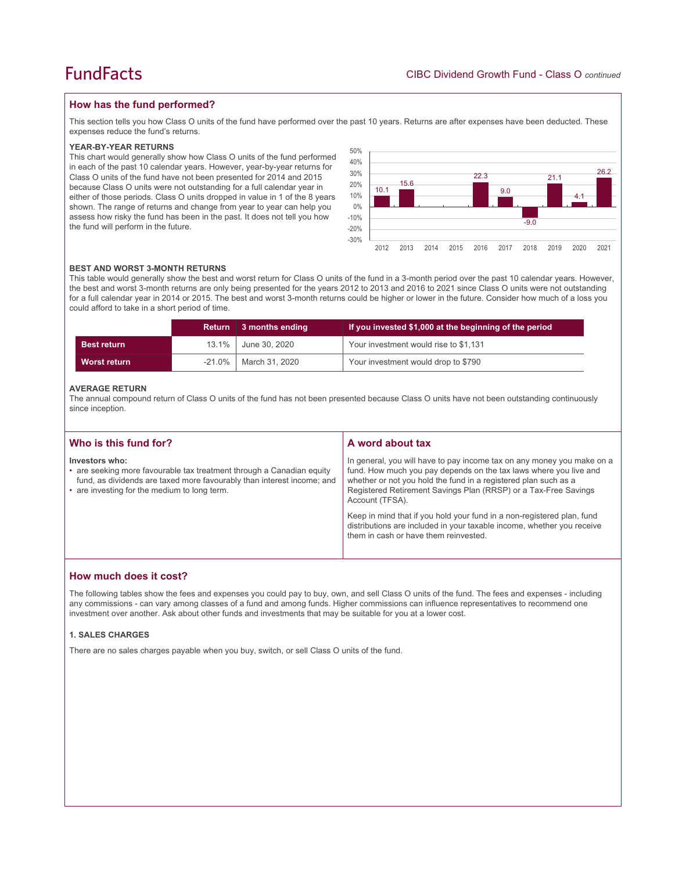## **FundFacts**

## **How has the fund performed?**

This section tells you how Class O units of the fund have performed over the past 10 years. Returns are after expenses have been deducted. These expenses reduce the fund's returns.

### **YEAR-BY-YEAR RETURNS**

This chart would generally show how Class O units of the fund performed in each of the past 10 calendar years. However, year-by-year returns for Class O units of the fund have not been presented for 2014 and 2015 because Class O units were not outstanding for a full calendar year in either of those periods. Class O units dropped in value in 1 of the 8 years shown. The range of returns and change from year to year can help you assess how risky the fund has been in the past. It does not tell you how the fund will perform in the future.



### **BEST AND WORST 3-MONTH RETURNS**

This table would generally show the best and worst return for Class O units of the fund in a 3-month period over the past 10 calendar years. However, the best and worst 3-month returns are only being presented for the years 2012 to 2013 and 2016 to 2021 since Class O units were not outstanding for a full calendar year in 2014 or 2015. The best and worst 3-month returns could be higher or lower in the future. Consider how much of a loss you could afford to take in a short period of time.

|                     | Return    | 3 months ending | If you invested \$1,000 at the beginning of the period |
|---------------------|-----------|-----------------|--------------------------------------------------------|
| <b>Best return</b>  | 13.1%     | June 30, 2020   | Your investment would rise to \$1,131                  |
| <b>Worst return</b> | $-21.0\%$ | March 31, 2020  | Your investment would drop to \$790                    |

### **AVERAGE RETURN**

The annual compound return of Class O units of the fund has not been presented because Class O units have not been outstanding continuously since inception.

| Who is this fund for?                                                                                                                                                                                             | A word about tax                                                                                                                                                                                                                                                                                     |  |
|-------------------------------------------------------------------------------------------------------------------------------------------------------------------------------------------------------------------|------------------------------------------------------------------------------------------------------------------------------------------------------------------------------------------------------------------------------------------------------------------------------------------------------|--|
| Investors who:<br>• are seeking more favourable tax treatment through a Canadian equity<br>fund, as dividends are taxed more favourably than interest income; and<br>• are investing for the medium to long term. | In general, you will have to pay income tax on any money you make on a<br>fund. How much you pay depends on the tax laws where you live and<br>whether or not you hold the fund in a registered plan such as a<br>Registered Retirement Savings Plan (RRSP) or a Tax-Free Savings<br>Account (TFSA). |  |
|                                                                                                                                                                                                                   | Keep in mind that if you hold your fund in a non-registered plan, fund<br>distributions are included in your taxable income, whether you receive<br>them in cash or have them reinvested.                                                                                                            |  |

## **How much does it cost?**

The following tables show the fees and expenses you could pay to buy, own, and sell Class O units of the fund. The fees and expenses - including any commissions - can vary among classes of a fund and among funds. Higher commissions can influence representatives to recommend one investment over another. Ask about other funds and investments that may be suitable for you at a lower cost.

## **1. SALES CHARGES**

There are no sales charges payable when you buy, switch, or sell Class O units of the fund.